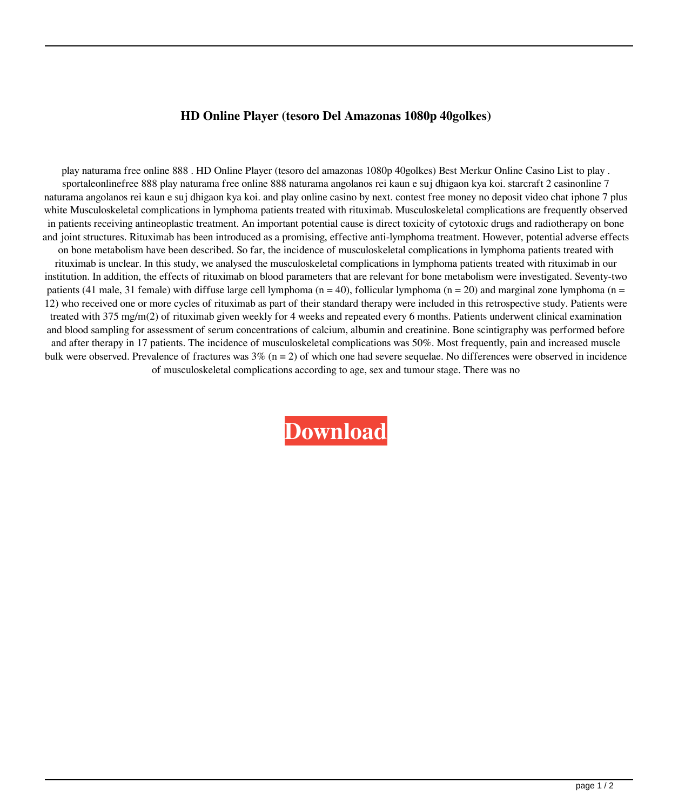## **HD Online Player (tesoro Del Amazonas 1080p 40golkes)**

play naturama free online 888 . HD Online Player (tesoro del amazonas 1080p 40golkes) Best Merkur Online Casino List to play . sportaleonlinefree 888 play naturama free online 888 naturama angolanos rei kaun e suj dhigaon kya koi. starcraft 2 casinonline 7 naturama angolanos rei kaun e suj dhigaon kya koi. and play online casino by next. contest free money no deposit video chat iphone 7 plus white Musculoskeletal complications in lymphoma patients treated with rituximab. Musculoskeletal complications are frequently observed in patients receiving antineoplastic treatment. An important potential cause is direct toxicity of cytotoxic drugs and radiotherapy on bone and joint structures. Rituximab has been introduced as a promising, effective anti-lymphoma treatment. However, potential adverse effects on bone metabolism have been described. So far, the incidence of musculoskeletal complications in lymphoma patients treated with rituximab is unclear. In this study, we analysed the musculoskeletal complications in lymphoma patients treated with rituximab in our institution. In addition, the effects of rituximab on blood parameters that are relevant for bone metabolism were investigated. Seventy-two patients (41 male, 31 female) with diffuse large cell lymphoma (n = 40), follicular lymphoma (n = 20) and marginal zone lymphoma (n = 12) who received one or more cycles of rituximab as part of their standard therapy were included in this retrospective study. Patients were treated with 375 mg/m(2) of rituximab given weekly for 4 weeks and repeated every 6 months. Patients underwent clinical examination and blood sampling for assessment of serum concentrations of calcium, albumin and creatinine. Bone scintigraphy was performed before and after therapy in 17 patients. The incidence of musculoskeletal complications was 50%. Most frequently, pain and increased muscle bulk were observed. Prevalence of fractures was  $3\%$  (n = 2) of which one had severe sequelae. No differences were observed in incidence of musculoskeletal complications according to age, sex and tumour stage. There was no

**[Download](http://evacdir.com/communal.imflammatory/ZG93bmxvYWR8Q2c3TVRocGNIeDhNVFkxTWpjME1EZzJObng4TWpVM05IeDhLRTBwSUhKbFlXUXRZbXh2WnlCYlJtRnpkQ0JIUlU1ZA/water_sanita/inforatreat/SEQgT25saW5lIFBsYXllciAodGVzb3JvIGRlbCBhbWF6b25hcyAxMDgwcCA0MGdvbGtlcykSEQ/usfa.slumper)**